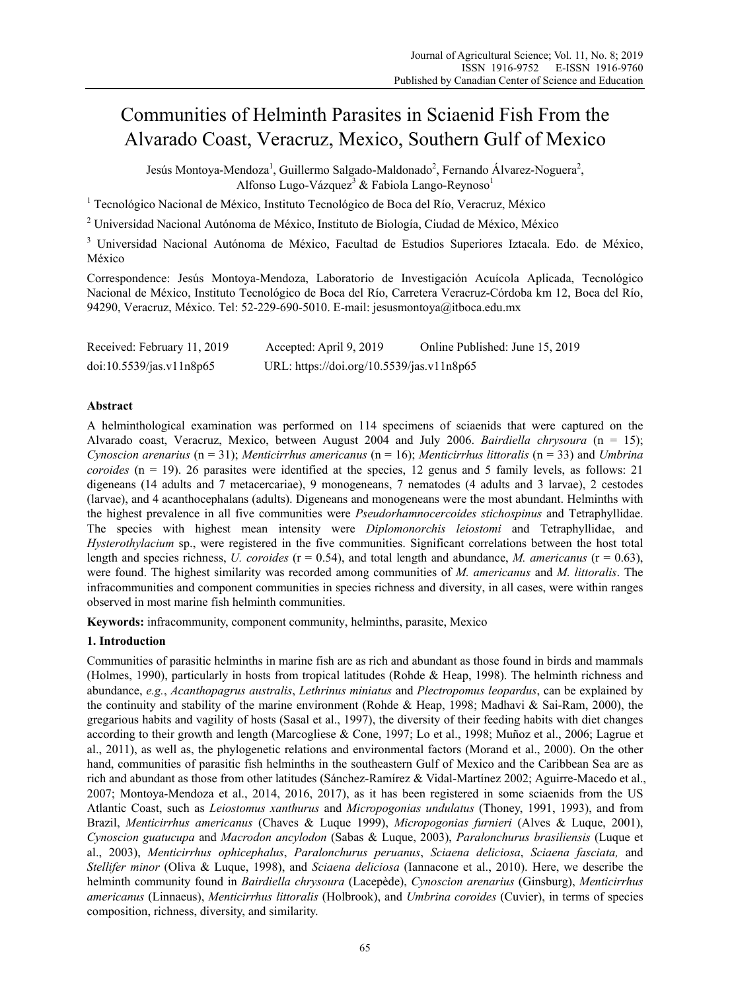# Communities of Helminth Parasites in Sciaenid Fish From the Alvarado Coast, Veracruz, Mexico, Southern Gulf of Mexico

Jesús Montoya-Mendoza<sup>1</sup>, Guillermo Salgado-Maldonado<sup>2</sup>, Fernando Álvarez-Noguera<sup>2</sup>, Alfonso Lugo-Vázquez<sup>3</sup> & Fabiola Lango-Reynoso<sup>1</sup>

<sup>1</sup> Tecnológico Nacional de México, Instituto Tecnológico de Boca del Río, Veracruz, México

<sup>2</sup> Universidad Nacional Autónoma de México, Instituto de Biología, Ciudad de México, México

<sup>3</sup> Universidad Nacional Autónoma de México, Facultad de Estudios Superiores Iztacala. Edo. de México, México

Correspondence: Jesús Montoya-Mendoza, Laboratorio de Investigación Acuícola Aplicada, Tecnológico Nacional de México, Instituto Tecnológico de Boca del Río, Carretera Veracruz-Córdoba km 12, Boca del Río, 94290, Veracruz, México. Tel: 52-229-690-5010. E-mail: jesusmontoya@itboca.edu.mx

| Received: February 11, 2019 | Accepted: April 9, 2019                   | Online Published: June 15, 2019 |
|-----------------------------|-------------------------------------------|---------------------------------|
| doi:10.5539/jas.v11n8p65    | URL: https://doi.org/10.5539/jas.v11n8p65 |                                 |

# **Abstract**

A helminthological examination was performed on 114 specimens of sciaenids that were captured on the Alvarado coast, Veracruz, Mexico, between August 2004 and July 2006. *Bairdiella chrysoura* (n = 15); *Cynoscion arenarius* (n = 31); *Menticirrhus americanus* (n = 16); *Menticirrhus littoralis* (n = 33) and *Umbrina coroides* (n = 19). 26 parasites were identified at the species, 12 genus and 5 family levels, as follows: 21 digeneans (14 adults and 7 metacercariae), 9 monogeneans, 7 nematodes (4 adults and 3 larvae), 2 cestodes (larvae), and 4 acanthocephalans (adults). Digeneans and monogeneans were the most abundant. Helminths with the highest prevalence in all five communities were *Pseudorhamnocercoides stichospinus* and Tetraphyllidae. The species with highest mean intensity were *Diplomonorchis leiostomi* and Tetraphyllidae, and *Hysterothylacium* sp., were registered in the five communities. Significant correlations between the host total length and species richness, *U. coroides* (r = 0.54), and total length and abundance, *M. americanus* (r = 0.63), were found. The highest similarity was recorded among communities of *M. americanus* and *M. littoralis*. The infracommunities and component communities in species richness and diversity, in all cases, were within ranges observed in most marine fish helminth communities.

**Keywords:** infracommunity, component community, helminths, parasite, Mexico

## **1. Introduction**

Communities of parasitic helminths in marine fish are as rich and abundant as those found in birds and mammals (Holmes, 1990), particularly in hosts from tropical latitudes (Rohde & Heap, 1998). The helminth richness and abundance, *e.g.*, *Acanthopagrus australis*, *Lethrinus miniatus* and *Plectropomus leopardus*, can be explained by the continuity and stability of the marine environment (Rohde & Heap, 1998; Madhavi & Sai-Ram, 2000), the gregarious habits and vagility of hosts (Sasal et al., 1997), the diversity of their feeding habits with diet changes according to their growth and length (Marcogliese & Cone, 1997; Lo et al., 1998; Muñoz et al., 2006; Lagrue et al., 2011), as well as, the phylogenetic relations and environmental factors (Morand et al., 2000). On the other hand, communities of parasitic fish helminths in the southeastern Gulf of Mexico and the Caribbean Sea are as rich and abundant as those from other latitudes (Sánchez-Ramírez & Vidal-Martínez 2002; Aguirre-Macedo et al., 2007; Montoya-Mendoza et al., 2014, 2016, 2017), as it has been registered in some sciaenids from the US Atlantic Coast, such as *Leiostomus xanthurus* and *Micropogonias undulatus* (Thoney, 1991, 1993), and from Brazil, *Menticirrhus americanus* (Chaves & Luque 1999), *Micropogonias furnieri* (Alves & Luque, 2001), *Cynoscion guatucupa* and *Macrodon ancylodon* (Sabas & Luque, 2003), *Paralonchurus brasiliensis* (Luque et al., 2003), *Menticirrhus ophicephalus*, *Paralonchurus peruanus*, *Sciaena deliciosa*, *Sciaena fasciata,* and *Stellifer minor* (Oliva & Luque, 1998), and *Sciaena deliciosa* (Iannacone et al., 2010). Here, we describe the helminth community found in *Bairdiella chrysoura* (Lacepède), *Cynoscion arenarius* (Ginsburg), *Menticirrhus americanus* (Linnaeus), *Menticirrhus littoralis* (Holbrook), and *Umbrina coroides* (Cuvier), in terms of species composition, richness, diversity, and similarity.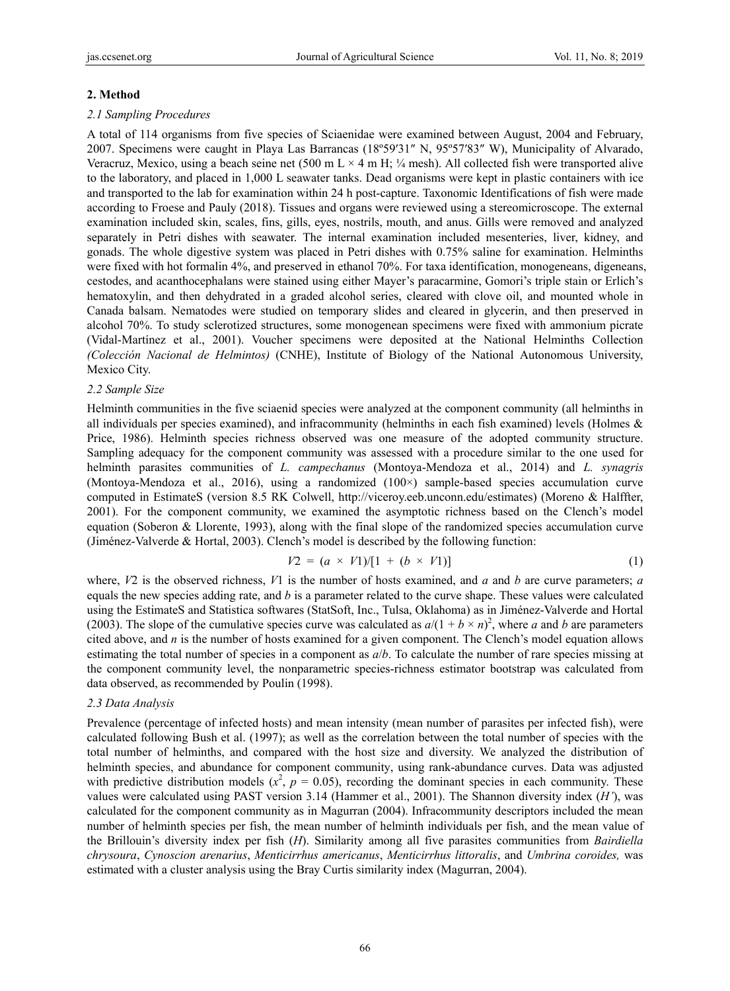#### **2. Method**

#### *2.1 Sampling Procedures*

A total of 114 organisms from five species of Sciaenidae were examined between August, 2004 and February, 2007. Specimens were caught in Playa Las Barrancas (18º59′31″ N, 95º57′83″ W), Municipality of Alvarado, Veracruz, Mexico, using a beach seine net (500 m L  $\times$  4 m H; ¼ mesh). All collected fish were transported alive to the laboratory, and placed in 1,000 L seawater tanks. Dead organisms were kept in plastic containers with ice and transported to the lab for examination within 24 h post-capture. Taxonomic Identifications of fish were made according to Froese and Pauly (2018). Tissues and organs were reviewed using a stereomicroscope. The external examination included skin, scales, fins, gills, eyes, nostrils, mouth, and anus. Gills were removed and analyzed separately in Petri dishes with seawater. The internal examination included mesenteries, liver, kidney, and gonads. The whole digestive system was placed in Petri dishes with 0.75% saline for examination. Helminths were fixed with hot formalin 4%, and preserved in ethanol 70%. For taxa identification, monogeneans, digeneans, cestodes, and acanthocephalans were stained using either Mayer's paracarmine, Gomori's triple stain or Erlich's hematoxylin, and then dehydrated in a graded alcohol series, cleared with clove oil, and mounted whole in Canada balsam. Nematodes were studied on temporary slides and cleared in glycerin, and then preserved in alcohol 70%. To study sclerotized structures, some monogenean specimens were fixed with ammonium picrate (Vidal-Martínez et al., 2001). Voucher specimens were deposited at the National Helminths Collection *(Colección Nacional de Helmintos)* (CNHE), Institute of Biology of the National Autonomous University, Mexico City.

#### *2.2 Sample Size*

Helminth communities in the five sciaenid species were analyzed at the component community (all helminths in all individuals per species examined), and infracommunity (helminths in each fish examined) levels (Holmes & Price, 1986). Helminth species richness observed was one measure of the adopted community structure. Sampling adequacy for the component community was assessed with a procedure similar to the one used for helminth parasites communities of *L. campechanus* (Montoya-Mendoza et al., 2014) and *L. synagris* (Montoya-Mendoza et al., 2016), using a randomized (100×) sample-based species accumulation curve computed in EstimateS (version 8.5 RK Colwell, http://viceroy.eeb.unconn.edu/estimates) (Moreno & Halffter, 2001). For the component community, we examined the asymptotic richness based on the Clench's model equation (Soberon & Llorente, 1993), along with the final slope of the randomized species accumulation curve (Jiménez-Valverde & Hortal, 2003). Clench's model is described by the following function:

$$
V2 = (a \times V1)/[1 + (b \times V1)] \tag{1}
$$

where, *V*2 is the observed richness, *V*1 is the number of hosts examined, and *a* and *b* are curve parameters; *a* equals the new species adding rate, and *b* is a parameter related to the curve shape. These values were calculated using the EstimateS and Statistica softwares (StatSoft, Inc., Tulsa, Oklahoma) as in Jiménez-Valverde and Hortal (2003). The slope of the cumulative species curve was calculated as  $a/(1 + b \times n)^2$ , where *a* and *b* are parameters cited above, and *n* is the number of hosts examined for a given component. The Clench's model equation allows estimating the total number of species in a component as *a*/*b*. To calculate the number of rare species missing at the component community level, the nonparametric species-richness estimator bootstrap was calculated from data observed, as recommended by Poulin (1998).

#### *2.3 Data Analysis*

Prevalence (percentage of infected hosts) and mean intensity (mean number of parasites per infected fish), were calculated following Bush et al. (1997); as well as the correlation between the total number of species with the total number of helminths, and compared with the host size and diversity. We analyzed the distribution of helminth species, and abundance for component community, using rank-abundance curves. Data was adjusted with predictive distribution models  $(x^2, p = 0.05)$ , recording the dominant species in each community. These values were calculated using PAST version 3.14 (Hammer et al., 2001). The Shannon diversity index (*H'*), was calculated for the component community as in Magurran (2004). Infracommunity descriptors included the mean number of helminth species per fish, the mean number of helminth individuals per fish, and the mean value of the Brillouin's diversity index per fish (*H*). Similarity among all five parasites communities from *Bairdiella chrysoura*, *Cynoscion arenarius*, *Menticirrhus americanus*, *Menticirrhus littoralis*, and *Umbrina coroides,* was estimated with a cluster analysis using the Bray Curtis similarity index (Magurran, 2004).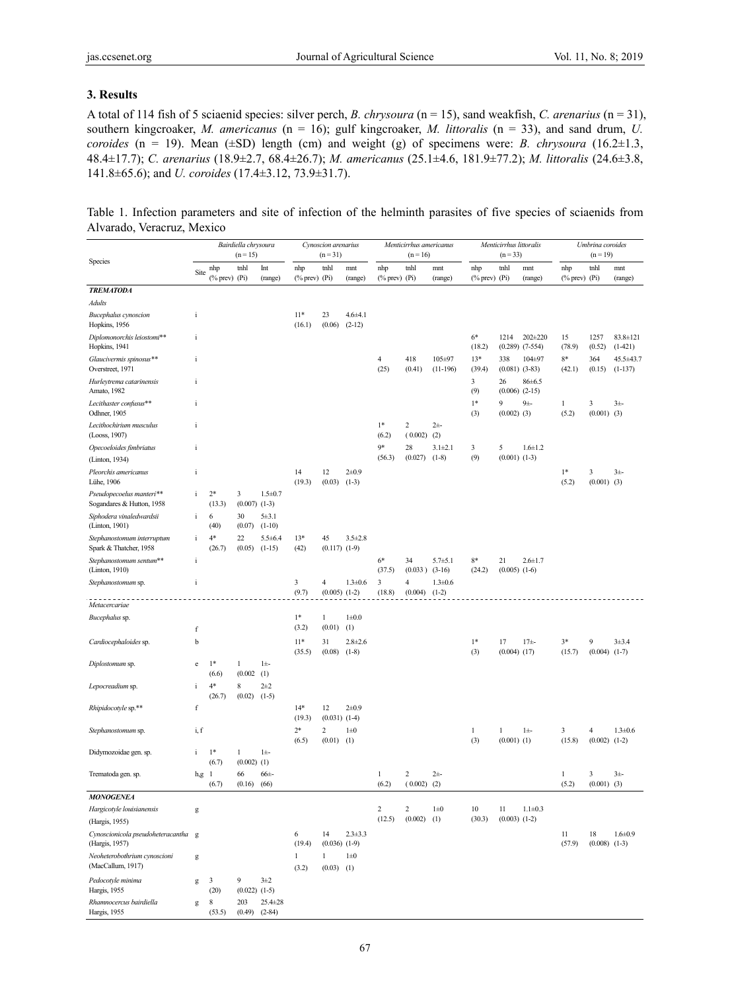#### **3. Results**

A total of 114 fish of 5 sciaenid species: silver perch, *B. chrysoura* (n = 15), sand weakfish, *C. arenarius* (n = 31), southern kingcroaker, *M. americanus* (n = 16); gulf kingcroaker, *M. littoralis* (n = 33), and sand drum, *U. coroides* (n = 19). Mean ( $\pm SD$ ) length (cm) and weight (g) of specimens were: *B. chrysoura* (16.2 $\pm 1.3$ , 48.4±17.7); *C. arenarius* (18.9±2.7, 68.4±26.7); *M. americanus* (25.1±4.6, 181.9±77.2); *M. littoralis* (24.6±3.8, 141.8±65.6); and *U. coroides* (17.4±3.12, 73.9±31.7).

Table 1. Infection parameters and site of infection of the helminth parasites of five species of sciaenids from Alvarado, Veracruz, Mexico

|                                                       | Bairdiella chrysoura<br>$(n = 15)$ |                                           |                               | Cynoscion arenarius<br>$(n=31)$ |                           |                              | Menticirrhus americanus<br>$(n = 16)$ |                    |                           | Menticirrhus littoralis<br>$(n = 33)$ |                                                           |                                 | Umbrina coroides<br>$(n = 19)$       |                                  |                         |                             |
|-------------------------------------------------------|------------------------------------|-------------------------------------------|-------------------------------|---------------------------------|---------------------------|------------------------------|---------------------------------------|--------------------|---------------------------|---------------------------------------|-----------------------------------------------------------|---------------------------------|--------------------------------------|----------------------------------|-------------------------|-----------------------------|
| Species                                               | Site                               | nhp<br>$(% \mathcal{O}(\mathbb{R}))$ (Pi) | tnhl                          | Int<br>(range)                  | nhp<br>$(\%$ prev) $(Pi)$ | tnhl                         | mnt<br>(range)                        | nhp<br>$(\%$ prev) | tnhl<br>(P <sub>i</sub> ) | mnt<br>(range)                        | nhp<br>$(% \mathcal{O}_{0}^{0}\cap \mathcal{O}_{1})$ (Pi) | tnhl                            | mnt<br>(range)                       | nhp<br>$(% \mathcal{O}(n))$ (Pi) | tnhl                    | mnt<br>(range)              |
| <b>TREMATODA</b>                                      |                                    |                                           |                               |                                 |                           |                              |                                       |                    |                           |                                       |                                                           |                                 |                                      |                                  |                         |                             |
| Adults                                                |                                    |                                           |                               |                                 |                           |                              |                                       |                    |                           |                                       |                                                           |                                 |                                      |                                  |                         |                             |
| Bucephalus cynoscion<br>Hopkins, 1956                 | $\mathbf{i}$                       |                                           |                               |                                 | $11*$<br>(16.1)           | 23<br>(0.06)                 | $4.6 + 4.1$<br>$(2-12)$               |                    |                           |                                       |                                                           |                                 |                                      |                                  |                         |                             |
| Diplomonorchis leiostomi**<br>Hopkins, 1941           | $\mathbf{i}$                       |                                           |                               |                                 |                           |                              |                                       |                    |                           |                                       | $6*$<br>(18.2)                                            | 1214                            | $202 \pm 220$<br>$(0.289)$ $(7-554)$ | 15<br>(78.9)                     | 1257<br>(0.52)          | $83.8 \pm 121$<br>$(1-421)$ |
| Glaucivermis spinosus**<br>Overstreet, 1971           | $\mathbf{i}$                       |                                           |                               |                                 |                           |                              |                                       | 4<br>(25)          | 418<br>(0.41)             | 105±97<br>$(11-196)$                  | $13*$<br>(39.4)                                           | 338                             | $104 + 97$<br>$(0.081)$ $(3-83)$     | $8*$<br>(42.1)                   | 364<br>(0.15)           | 45.5±43.7<br>$(1-137)$      |
| Hurleytrema catarinensis<br>Amato, 1982               | $\mathbf{i}$                       |                                           |                               |                                 |                           |                              |                                       |                    |                           |                                       | 3<br>(9)                                                  | 26<br>$(0.006)$ $(2-15)$        | $86 \pm 6.5$                         |                                  |                         |                             |
| Lecithaster confusus**<br>Odhner, 1905                | $\mathbf{i}$                       |                                           |                               |                                 |                           |                              |                                       |                    |                           |                                       | $1*$<br>(3)                                               | 9<br>$(0.002)$ (3)              | $9+$                                 | 1<br>(5.2)                       | 3<br>$(0.001)$ (3)      | $3\pm$                      |
| Lecithochirium musculus<br>(Looss, 1907)              | $\mathbf{i}$                       |                                           |                               |                                 |                           |                              |                                       | $1*$<br>(6.2)      | 2<br>(0.002)              | $2+$<br>(2)                           |                                                           |                                 |                                      |                                  |                         |                             |
| Opecoeloides fimbriatus                               | $\mathbf{i}$                       |                                           |                               |                                 |                           |                              |                                       | $9*$               | 28                        | $3.1 \pm 2.1$                         | 3                                                         | 5                               | $1.6 \pm 1.2$                        |                                  |                         |                             |
| (Linton, 1934)                                        |                                    |                                           |                               |                                 |                           |                              |                                       | (56.3)             | (0.027)                   | $(1-8)$                               | (9)                                                       | $(0.001)$ $(1-3)$               |                                      |                                  |                         |                             |
| Pleorchis americanus<br>Lühe, 1906                    | $\mathbf{i}$                       |                                           |                               |                                 | 14<br>(19.3)              | 12<br>(0.03)                 | $2 + 0.9$<br>$(1-3)$                  |                    |                           |                                       |                                                           |                                 |                                      | $1*$<br>(5.2)                    | 3<br>$(0.001)$ (3)      | $3\pm$                      |
| Pseudopecoelus manteri**<br>Sogandares & Hutton, 1958 | $\mathbf{i}$                       | $2*$<br>(13.3)                            | 3<br>$(0.007)$ $(1-3)$        | $1.5 \pm 0.7$                   |                           |                              |                                       |                    |                           |                                       |                                                           |                                 |                                      |                                  |                         |                             |
| Siphodera vinaledwardsii<br>(Linton, 1901)            | $\mathbf{i}$                       | 6<br>(40)                                 | 30<br>(0.07)                  | $5 + 3.1$<br>$(1-10)$           |                           |                              |                                       |                    |                           |                                       |                                                           |                                 |                                      |                                  |                         |                             |
| Stephanostomum interruptum<br>Spark & Thatcher, 1958  | $\mathbf{i}$                       | $4*$<br>(26.7)                            | 22<br>(0.05)                  | $5.5 \pm 6.4$<br>$(1-15)$       | $13*$<br>(42)             | 45<br>$(0.117)$ $(1-9)$      | $3.5 \pm 2.8$                         |                    |                           |                                       |                                                           |                                 |                                      |                                  |                         |                             |
| Stephanostomum sentum**<br>(Linton, 1910)             | $\rm i$                            |                                           |                               |                                 |                           |                              |                                       | $6*$<br>(37.5)     | 34<br>$(0.033)$ $(3-16)$  | $5.7 + 5.1$                           | $8*$<br>(24.2)                                            | 21<br>$(0.005)$ $(1-6)$         | $2.6 \pm 1.7$                        |                                  |                         |                             |
| Stephanostomum sp.                                    | $\mathbf i$                        |                                           |                               |                                 | 3<br>(9.7)                | 4<br>$(0.005)$ $(1-2)$       | $1.3 \pm 0.6$                         | 3<br>(18.8)        | 4<br>(0.004)              | $1.3 \pm 0.6$<br>$(1-2)$              |                                                           |                                 |                                      |                                  |                         |                             |
| Metacercariae                                         |                                    |                                           |                               |                                 |                           |                              |                                       |                    |                           |                                       |                                                           |                                 |                                      |                                  |                         |                             |
| Bucephalus sp.                                        |                                    |                                           |                               |                                 | $1*$                      | $\mathbf{1}$                 | $1\pm0.0$                             |                    |                           |                                       |                                                           |                                 |                                      |                                  |                         |                             |
|                                                       | $\mathbf f$                        |                                           |                               |                                 | (3.2)                     | (0.01)                       | (1)                                   |                    |                           |                                       |                                                           |                                 |                                      |                                  |                         |                             |
| Cardiocephaloides sp.                                 | b                                  |                                           |                               |                                 | $11*$<br>(35.5)           | 31<br>(0.08)                 | $2.8 \pm 2.6$<br>$(1-8)$              |                    |                           |                                       | $1*$<br>(3)                                               | 17<br>$(0.004)$ $(17)$          | $17 + -$                             | $3*$<br>(15.7)                   | 9<br>(0.004)            | $3 + 3.4$<br>$(1-7)$        |
| Diplostomum sp.                                       | e                                  | $1*$<br>(6.6)                             | $\mathbf{1}$<br>(0.002)       | $1\pm$<br>(1)                   |                           |                              |                                       |                    |                           |                                       |                                                           |                                 |                                      |                                  |                         |                             |
| Lepocreadium sp.                                      | $\mathbf{i}$                       | $4*$<br>(26.7)                            | $\,$ 8 $\,$<br>(0.02)         | $2\pm 2$<br>$(1-5)$             |                           |                              |                                       |                    |                           |                                       |                                                           |                                 |                                      |                                  |                         |                             |
| Rhipidocotyle sp.**                                   | f                                  |                                           |                               |                                 | $14*$<br>(19.3)           | 12<br>$(0.031)$ $(1-4)$      | $2 + 0.9$                             |                    |                           |                                       |                                                           |                                 |                                      |                                  |                         |                             |
| Stephanostomum sp.                                    | i, f                               |                                           |                               |                                 | $2*$<br>(6.5)             | 2<br>(0.01)                  | $1\pm 0$<br>(1)                       |                    |                           |                                       | 1<br>(3)                                                  | $\mathbf{1}$<br>$(0.001)$ $(1)$ | $1\pm$                               | 3<br>(15.8)                      | 4<br>(0.002)            | $1.3 \pm 0.6$<br>$(1-2)$    |
| Didymozoidae gen. sp.                                 | $\mathbf{i}$                       | $1*$<br>(6.7)                             | $\mathbf{1}$<br>$(0.002)$ (1) | $1\pm$                          |                           |                              |                                       |                    |                           |                                       |                                                           |                                 |                                      |                                  |                         |                             |
| Trematoda gen. sp.                                    | $h,g$ 1                            | (6.7)                                     | 66<br>(0.16)                  | $66±-$<br>(66)                  |                           |                              |                                       | 1<br>(6.2)         | 2<br>$(0.002)$ (2)        | $2+$                                  |                                                           |                                 |                                      | 1<br>(5.2)                       | 3<br>$(0.001)$ (3)      | $3\pm$                      |
| <b>MONOGENEA</b>                                      |                                    |                                           |                               |                                 |                           |                              |                                       |                    |                           |                                       |                                                           |                                 |                                      |                                  |                         |                             |
| Hargicotyle louisianensis                             | g                                  |                                           |                               |                                 |                           |                              |                                       | 2                  | 2                         | $1\pm 0$                              | 10                                                        | 11                              | $1.1 \pm 0.3$                        |                                  |                         |                             |
| (Hargis, 1955)                                        |                                    |                                           |                               |                                 |                           |                              |                                       | (12.5)             | (0.002)                   | (1)                                   | (30.3)                                                    | $(0.003)$ $(1-2)$               |                                      |                                  |                         |                             |
| Cynoscionicola pseudoheteracantha g<br>(Hargis, 1957) |                                    |                                           |                               |                                 | 6<br>(19.4)               | 14<br>$(0.036)$ $(1-9)$      | $2.3 + 3.3$                           |                    |                           |                                       |                                                           |                                 |                                      | 11<br>(57.9)                     | 18<br>$(0.008)$ $(1-3)$ | $1.6 \pm 0.9$               |
| Neoheterobothrium cynoscioni<br>(MacCallum, 1917)     | $\mathbf g$                        |                                           |                               |                                 | $\mathbf{1}$<br>(3.2)     | $\mathbf{1}$<br>$(0.03)$ (1) | $1\pm 0$                              |                    |                           |                                       |                                                           |                                 |                                      |                                  |                         |                             |
| Pedocotyle minima<br>Hargis, 1955                     | g                                  | 3<br>(20)                                 | 9<br>$(0.022)$ $(1-5)$        | $3+2$                           |                           |                              |                                       |                    |                           |                                       |                                                           |                                 |                                      |                                  |                         |                             |
| Rhamnocercus bairdiella<br>Hargis, 1955               | g                                  | 8<br>(53.5)                               | 203<br>$(0.49)$ $(2-84)$      | 25.4±28                         |                           |                              |                                       |                    |                           |                                       |                                                           |                                 |                                      |                                  |                         |                             |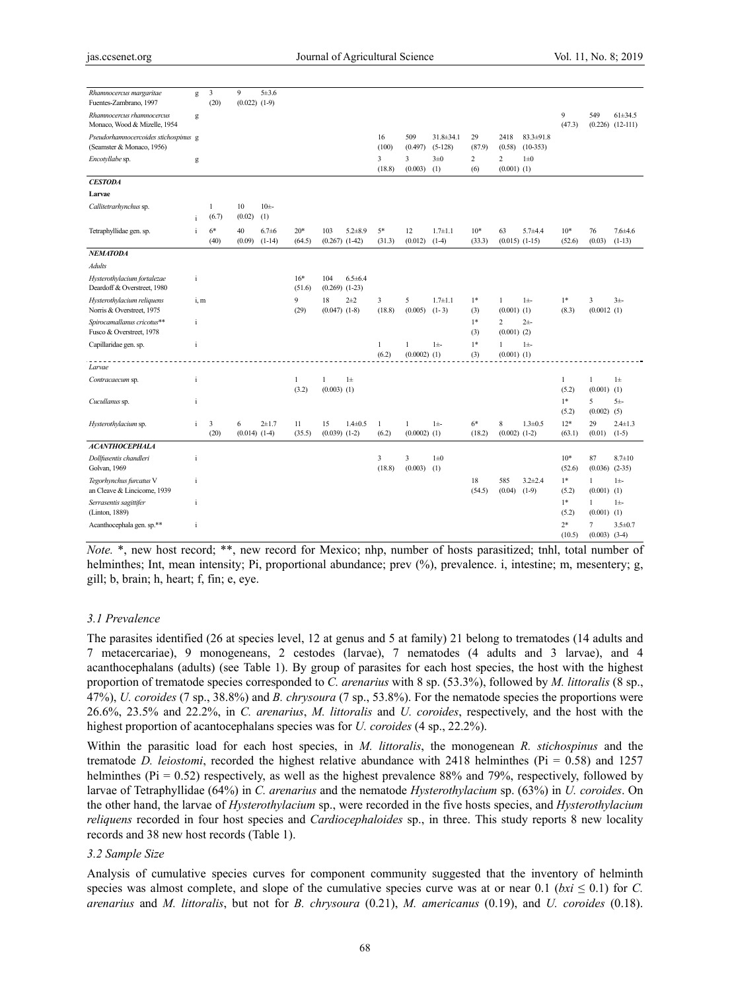| Rhamnocercus margaritae<br>Fuentes-Zambrano, 1997                 | g            | 3<br>(20)             | 9<br>$(0.022)$ $(1-9)$ | 5±3.6                  |                 |                           |               |                       |                                |                              |                 |                                 |                                   |                       |                        |                                     |
|-------------------------------------------------------------------|--------------|-----------------------|------------------------|------------------------|-----------------|---------------------------|---------------|-----------------------|--------------------------------|------------------------------|-----------------|---------------------------------|-----------------------------------|-----------------------|------------------------|-------------------------------------|
| Rhamnocercus rhamnocercus<br>Monaco, Wood & Mizelle, 1954         | g            |                       |                        |                        |                 |                           |               |                       |                                |                              |                 |                                 |                                   | 9<br>(47.3)           | 549                    | $61\pm34.5$<br>$(0.226)$ $(12-111)$ |
| Pseudorhamnocercoides stichospinus g<br>(Seamster & Monaco, 1956) |              |                       |                        |                        |                 |                           |               | 16<br>(100)           | 509<br>(0.497)                 | $31.8 \pm 34.1$<br>$(5-128)$ | 29<br>(87.9)    | 2418<br>(0.58)                  | $83.3 \pm 91.8$<br>$(10-353)$     |                       |                        |                                     |
| Encotyllabe sp.                                                   | g            |                       |                        |                        |                 |                           |               | 3<br>(18.8)           | 3<br>(0.003)                   | $3\pm0$<br>(1)               | 2<br>(6)        | 2<br>$(0.001)$ $(1)$            | $1\pm 0$                          |                       |                        |                                     |
| <b>CESTODA</b>                                                    |              |                       |                        |                        |                 |                           |               |                       |                                |                              |                 |                                 |                                   |                       |                        |                                     |
| Larvae                                                            |              |                       |                        |                        |                 |                           |               |                       |                                |                              |                 |                                 |                                   |                       |                        |                                     |
| Callitetrarhynchus sp.                                            | $\mathbf{i}$ | $\mathbf{1}$<br>(6.7) | 10<br>(0.02)           | 10 <sup>±</sup><br>(1) |                 |                           |               |                       |                                |                              |                 |                                 |                                   |                       |                        |                                     |
| Tetraphyllidae gen. sp.                                           | $\mathbf{i}$ | $6*$<br>(40)          | 40<br>(0.09)           | $6.7 + 6$<br>$(1-14)$  | $20*$<br>(64.5) | 103<br>$(0.267)$ $(1-42)$ | $5.2 + 8.9$   | $5*$<br>(31.3)        | 12<br>(0.012)                  | $1.7 \pm 1.1$<br>$(1-4)$     | $10*$<br>(33.3) | 63                              | $5.7 + 4.4$<br>$(0.015)$ $(1-15)$ | $10*$<br>(52.6)       | 76<br>(0.03)           | $7.6{\pm}4.6$<br>$(1-13)$           |
| <b>NEMATODA</b>                                                   |              |                       |                        |                        |                 |                           |               |                       |                                |                              |                 |                                 |                                   |                       |                        |                                     |
| Adults                                                            |              |                       |                        |                        |                 |                           |               |                       |                                |                              |                 |                                 |                                   |                       |                        |                                     |
| Hysterothylacium fortalezae<br>Deardoff & Overstreet, 1980        | $\mathbf{i}$ |                       |                        |                        | $16*$<br>(51.6) | 104<br>$(0.269)$ $(1-23)$ | $6.5 \pm 6.4$ |                       |                                |                              |                 |                                 |                                   |                       |                        |                                     |
| Hysterothylacium reliquens<br>Norris & Overstreet, 1975           | i, m         |                       |                        |                        | 9<br>(29)       | 18<br>$(0.047)$ $(1-8)$   | $2 + 2$       | 3<br>(18.8)           | 5<br>(0.005)                   | $1.7 \pm 1.1$<br>$(1-3)$     | $1*$<br>(3)     | $\mathbf{1}$<br>$(0.001)$ $(1)$ | $1\pm$                            | $1*$<br>(8.3)         | 3<br>(0.0012)(1)       | $3\pm$                              |
| Spirocamallanus cricotus**<br>Fusco & Overstreet, 1978            | $\rm i$      |                       |                        |                        |                 |                           |               |                       |                                |                              | $1*$<br>(3)     | 2<br>$(0.001)$ (2)              | $2+$                              |                       |                        |                                     |
| Capillaridae gen. sp.                                             | $\rm i$      |                       |                        |                        |                 |                           |               | $\mathbf{1}$<br>(6.2) | $\mathbf{1}$<br>$(0.0002)$ (1) | $1\pm$                       | $1*$<br>(3)     | $\mathbf{1}$<br>$(0.001)$ $(1)$ | $1\pm$                            |                       |                        |                                     |
| Larvae                                                            |              |                       |                        |                        |                 |                           |               |                       |                                |                              |                 |                                 |                                   |                       |                        |                                     |
| Contracaecum sp.                                                  | $\mathbf{i}$ |                       |                        |                        | 1<br>(3.2)      | 1<br>$(0.003)$ (1)        | $1\pm$        |                       |                                |                              |                 |                                 |                                   | $\mathbf{1}$<br>(5.2) | 1<br>$(0.001)$ $(1)$   | $1\pm$                              |
| Cucullanus sp.                                                    | $\rm i$      |                       |                        |                        |                 |                           |               |                       |                                |                              |                 |                                 |                                   | $1*$<br>(5.2)         | 5<br>$(0.002)$ (5)     | $5+$                                |
| Hysterothylacium sp.                                              | $\mathbf{i}$ | 3<br>(20)             | 6<br>$(0.014)$ $(1-4)$ | $2 + 1.7$              | 11<br>(35.5)    | 15<br>$(0.039)$ $(1-2)$   | $1.4 \pm 0.5$ | $\mathbf{1}$<br>(6.2) | $\mathbf{1}$<br>$(0.0002)$ (1) | $1\pm$                       | $6*$<br>(18.2)  | 8<br>$(0.002)$ $(1-2)$          | $1.3 \pm 0.5$                     | $12*$<br>(63.1)       | 29<br>(0.01)           | $2.4 \pm 1.3$<br>$(1-5)$            |
| <b>ACANTHOCEPHALA</b>                                             |              |                       |                        |                        |                 |                           |               |                       |                                |                              |                 |                                 |                                   |                       |                        |                                     |
| Dollfusentis chandleri<br>Golvan, 1969                            | $\mathbf{i}$ |                       |                        |                        |                 |                           |               | 3<br>(18.8)           | 3<br>(0.003)                   | $1\pm 0$<br>(1)              |                 |                                 |                                   | $10*$<br>(52.6)       | 87<br>(0.036)          | $8.7 \pm 10$<br>$(2-35)$            |
| Tegorhynchus furcatus V<br>an Cleave & Lincicome, 1939            | $\rm i$      |                       |                        |                        |                 |                           |               |                       |                                |                              | 18<br>(54.5)    | 585<br>(0.04)                   | $3.2 \pm 2.4$<br>$(1-9)$          | $1*$<br>(5.2)         | 1<br>$(0.001)$ $(1)$   | $1\pm$                              |
| Serrasentis sagittifer<br>(Linton, 1889)                          | $\mathbf{i}$ |                       |                        |                        |                 |                           |               |                       |                                |                              |                 |                                 |                                   | $1*$<br>(5.2)         | 1<br>$(0.001)$ $(1)$   | $1\pm$                              |
| Acanthocephala gen. sp.**                                         | $\mathbf{i}$ |                       |                        |                        |                 |                           |               |                       |                                |                              |                 |                                 |                                   | $2*$<br>(10.5)        | 7<br>$(0.003)$ $(3-4)$ | $3.5 \pm 0.7$                       |

*Note.* \*, new host record; \*\*, new record for Mexico; nhp, number of hosts parasitized; tnhl, total number of helminthes; Int, mean intensity; Pi, proportional abundance; prev  $(\%)$ , prevalence. i, intestine; m, mesentery; g, gill; b, brain; h, heart; f, fin; e, eye.

## *3.1 Prevalence*

The parasites identified (26 at species level, 12 at genus and 5 at family) 21 belong to trematodes (14 adults and 7 metacercariae), 9 monogeneans, 2 cestodes (larvae), 7 nematodes (4 adults and 3 larvae), and 4 acanthocephalans (adults) (see Table 1). By group of parasites for each host species, the host with the highest proportion of trematode species corresponded to *C. arenarius* with 8 sp. (53.3%), followed by *M. littoralis* (8 sp., 47%), *U. coroides* (7 sp., 38.8%) and *B. chrysoura* (7 sp., 53.8%). For the nematode species the proportions were 26.6%, 23.5% and 22.2%, in *C. arenarius*, *M. littoralis* and *U. coroides*, respectively, and the host with the highest proportion of acantocephalans species was for *U. coroides* (4 sp., 22.2%).

Within the parasitic load for each host species, in *M. littoralis*, the monogenean *R. stichospinus* and the trematode *D. leiostomi*, recorded the highest relative abundance with 2418 helminthes ( $Pi = 0.58$ ) and 1257 helminthes (Pi = 0.52) respectively, as well as the highest prevalence 88% and 79%, respectively, followed by larvae of Tetraphyllidae (64%) in *C. arenarius* and the nematode *Hysterothylacium* sp. (63%) in *U. coroides*. On the other hand, the larvae of *Hysterothylacium* sp., were recorded in the five hosts species, and *Hysterothylacium reliquens* recorded in four host species and *Cardiocephaloides* sp., in three. This study reports 8 new locality records and 38 new host records (Table 1).

#### *3.2 Sample Size*

Analysis of cumulative species curves for component community suggested that the inventory of helminth species was almost complete, and slope of the cumulative species curve was at or near  $0.1$  (*bxi*  $\leq 0.1$ ) for *C*. *arenarius* and *M. littoralis*, but not for *B. chrysoura* (0.21), *M. americanus* (0.19), and *U. coroides* (0.18).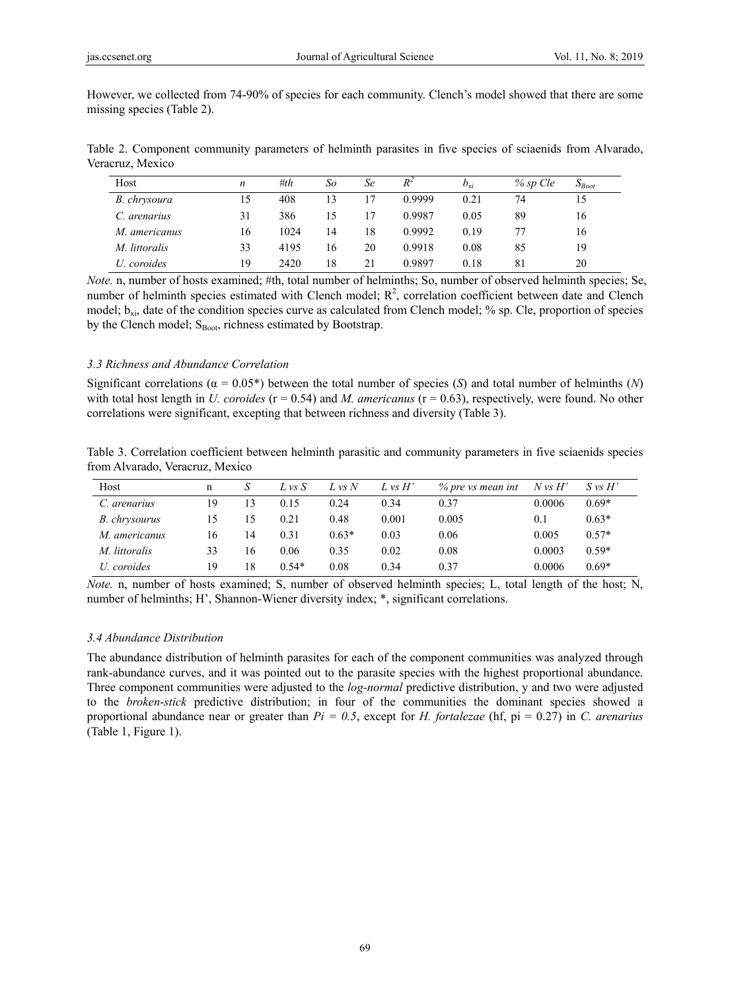However, we collected from 74-90% of species for each community. Clench's model showed that there are some missing species (Table 2).

Table 2. Component community parameters of helminth parasites in five species of sciaenids from Alvarado, Veracruz, Mexico

| Host          | n  | #th  | So | Se | $R^2$  | $b_{xi}$ | $%$ sp Cle | $S_{\text{foot}}$ |
|---------------|----|------|----|----|--------|----------|------------|-------------------|
| B. chrysoura  | 15 | 408  |    |    | 0.9999 | 0.21     | 74         | 15                |
| C. arenarius  | 31 | 386  |    | 17 | 0.9987 | 0.05     | 89         | 16                |
| M. americanus | 16 | 1024 | 14 | 18 | 0.9992 | 0.19     |            | 16                |
| M. littoralis | 33 | 4195 | 16 | 20 | 0.9918 | 0.08     | 85         | 19                |
| U. coroides   | 19 | 2420 | 18 | 21 | 0.9897 | 0.18     | 81         | 20                |

*Note.* n, number of hosts examined; #th, total number of helminths; So, number of observed helminth species; Se, number of helminth species estimated with Clench model;  $R<sup>2</sup>$ , correlation coefficient between date and Clench model;  $b_{xi}$ , date of the condition species curve as calculated from Clench model; % sp. Cle, proportion of species by the Clench model; S<sub>Boot</sub>, richness estimated by Bootstrap.

## *3.3 Richness and Abundance Correlation*

Significant correlations ( $\alpha = 0.05^*$ ) between the total number of species (*S*) and total number of helminths (*N*) with total host length in *U. coroides* ( $r = 0.54$ ) and *M. americanus* ( $r = 0.63$ ), respectively, were found. No other correlations were significant, excepting that between richness and diversity (Table 3).

Table 3. Correlation coefficient between helminth parasitic and community parameters in five sciaenids species from Alvarado, Veracruz, Mexico

| Host                 |    |    | L vs S  | $L$ vs $N$ | $L$ vs $H'$ | % pre vs mean int | $N \nu s H'$ | $S \nu s H'$ |
|----------------------|----|----|---------|------------|-------------|-------------------|--------------|--------------|
| C. arenarius         | 19 |    | 0.15    | 0.24       | 0.34        | 0.37              | 0.0006       | $0.69*$      |
| <i>B. chrysourus</i> | 15 |    | 0.21    | 0.48       | 0.001       | 0.005             | 0.1          | $0.63*$      |
| M. americanus        | 16 | 14 | 0.31    | $0.63*$    | 0.03        | 0.06              | 0.005        | $0.57*$      |
| M. littoralis        | 33 | 16 | 0.06    | 0.35       | 0.02        | 0.08              | 0.0003       | $0.59*$      |
| U. coroides          | 19 | 18 | $0.54*$ | 0.08       | 0.34        | 0.37              | 0.0006       | $0.69*$      |

*Note.* n, number of hosts examined; S, number of observed helminth species; L, total length of the host; N, number of helminths; H', Shannon-Wiener diversity index; \*, significant correlations.

#### *3.4 Abundance Distribution*

The abundance distribution of helminth parasites for each of the component communities was analyzed through rank-abundance curves, and it was pointed out to the parasite species with the highest proportional abundance. Three component communities were adjusted to the *log-normal* predictive distribution, y and two were adjusted to the *broken-stick* predictive distribution; in four of the communities the dominant species showed a proportional abundance near or greater than *Pi = 0.5*, except for *H. fortalezae* (hf, pi = 0.27) in *C. arenarius* (Table 1, Figure 1).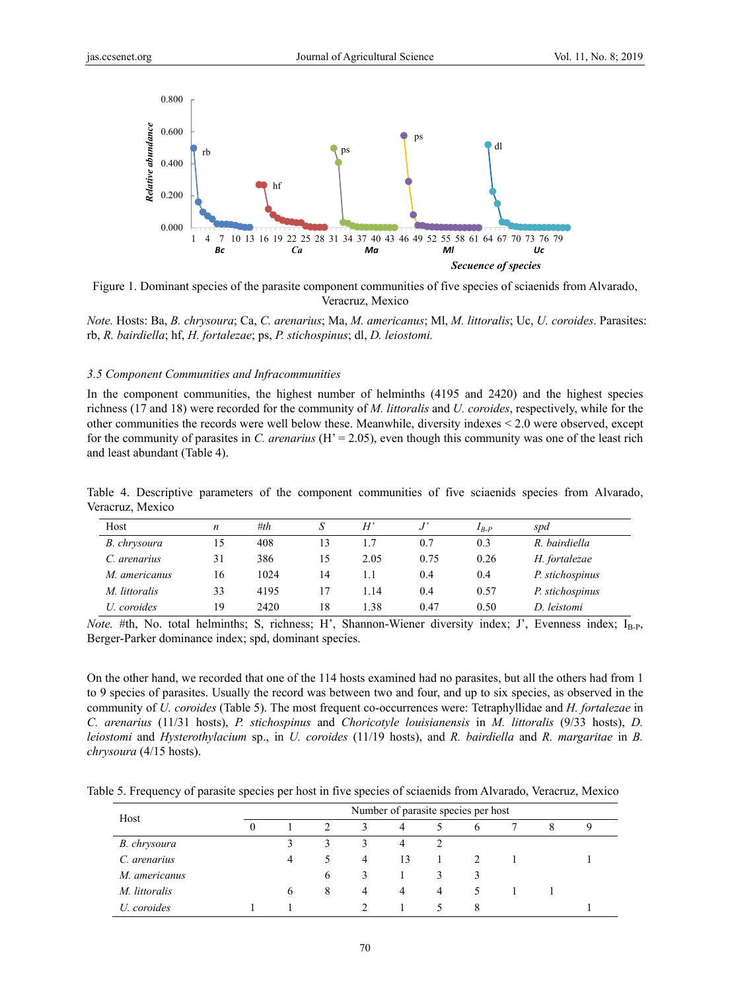

Figure 1. Dominant species of the parasite component communities of five species of sciaenids from Alvarado, Veracruz, Mexico

*Note.* Hosts: Ba, *B. chrysoura*; Ca, *C. arenarius*; Ma, *M. americanus*; Ml, *M. littoralis*; Uc, *U. coroides*. Parasites: rb, *R. bairdiella*; hf, *H. fortalezae*; ps, *P. stichospinus*; dl, *D. leiostomi.* 

#### *3.5 Component Communities and Infracommunities*

In the component communities, the highest number of helminths (4195 and 2420) and the highest species richness (17 and 18) were recorded for the community of *M. littoralis* and *U. coroides*, respectively, while for the other communities the records were well below these. Meanwhile, diversity indexes < 2.0 were observed, except for the community of parasites in *C. arenarius* (H' = 2.05), even though this community was one of the least rich and least abundant (Table 4).

Table 4. Descriptive parameters of the component communities of five sciaenids species from Alvarado, Veracruz, Mexico

| Host          | n  | #th  |    | H'   |      | $I_{B-P}$ | spd             |
|---------------|----|------|----|------|------|-----------|-----------------|
| B. chrysoura  | 15 | 408  |    |      | 0.7  | 0.3       | R. bairdiella   |
| C. arenarius  | 31 | 386  | 15 | 2.05 | 0.75 | 0.26      | H. fortalezae   |
| M. americanus | 16 | 1024 | 14 |      | 0.4  | 0.4       | P. stichospinus |
| M. littoralis | 33 | 4195 |    | 1.14 | 0.4  | 0.57      | P. stichospinus |
| U. coroides   | 19 | 2420 | 18 | 1.38 | 0.47 | 0.50      | D. leistomi     |

*Note.* #th, No. total helminths; S, richness; H', Shannon-Wiener diversity index; J', Evenness index; I<sub>B-P</sub>, Berger-Parker dominance index; spd, dominant species.

On the other hand, we recorded that one of the 114 hosts examined had no parasites, but all the others had from 1 to 9 species of parasites. Usually the record was between two and four, and up to six species, as observed in the community of *U. coroides* (Table 5). The most frequent co-occurrences were: Tetraphyllidae and *H. fortalezae* in *C. arenarius* (11/31 hosts), *P. stichospinus* and *Choricotyle louisianensis* in *M. littoralis* (9/33 hosts), *D. leiostomi* and *Hysterothylacium* sp., in *U. coroides* (11/19 hosts), and *R. bairdiella* and *R. margaritae* in *B. chrysoura* (4/15 hosts).

Table 5. Frequency of parasite species per host in five species of sciaenids from Alvarado, Veracruz, Mexico

| Host          |          | Number of parasite species per host |   |                |    |   |              |  |  |   |  |  |  |
|---------------|----------|-------------------------------------|---|----------------|----|---|--------------|--|--|---|--|--|--|
|               | $\theta$ |                                     |   | 3              | 4  |   | <sub>0</sub> |  |  | 9 |  |  |  |
| B. chrysoura  |          | 3                                   | 3 | 3              | 4  |   |              |  |  |   |  |  |  |
| C. arenarius  |          | 4                                   |   | $\overline{4}$ | 13 |   |              |  |  |   |  |  |  |
| M. americanus |          |                                     | b | 3              |    |   |              |  |  |   |  |  |  |
| M. littoralis |          | 6                                   | 8 | 4              | 4  | 4 |              |  |  |   |  |  |  |
| U. coroides   |          |                                     |   |                |    |   | 8            |  |  |   |  |  |  |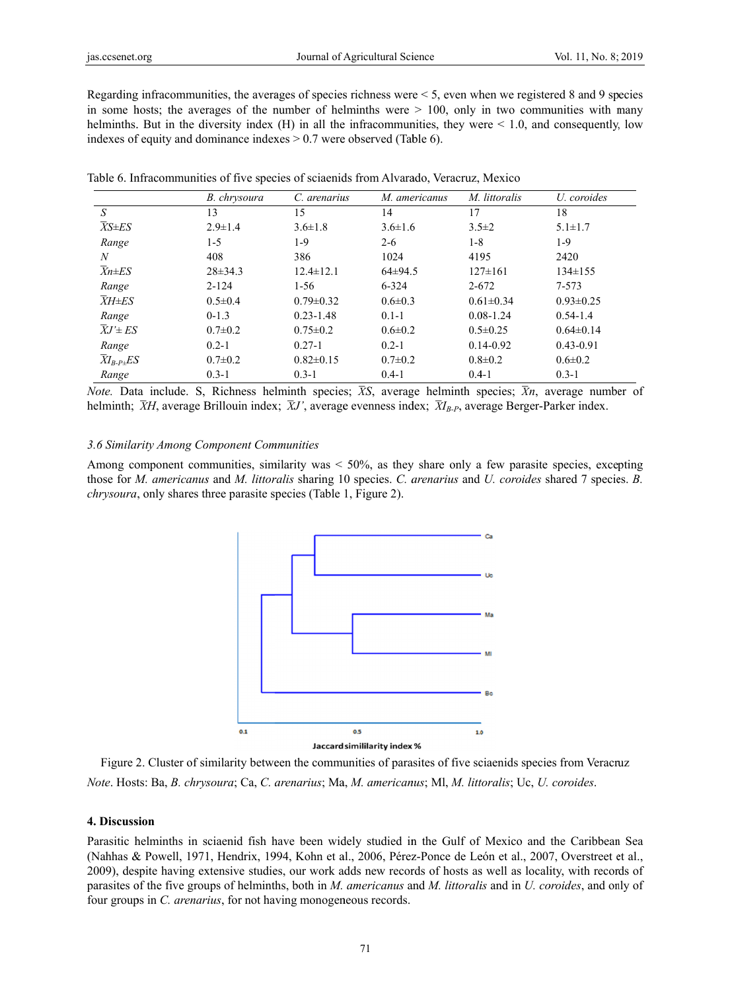Regarding infracommunities, the averages of species richness were < 5, even when we registered 8 and 9 species in some hosts; the averages of the number of helminths were  $> 100$ , only in two communities with many helminths. But in the diversity index  $(H)$  in all the infracommunities, they were  $\leq 1.0$ , and consequently, low indexes of equity and dominance indexes  $> 0.7$  were observed (Table 6).

|                         | B. chrysoura  | C. arenarius    | M. americanus | M. littoralis   | U. coroides     |
|-------------------------|---------------|-----------------|---------------|-----------------|-----------------|
| $\overline{S}$          | 13            | 15              | 14            | 17              | 18              |
| $\overline{X}S \pm ES$  | $2.9 \pm 1.4$ | $3.6 \pm 1.8$   | $3.6 \pm 1.6$ | $3.5 \pm 2$     | $5.1 \pm 1.7$   |
| Range                   | 1-5           | 1-9             | $2 - 6$       | $1 - 8$         | $1-9$           |
| N                       | 408           | 386             | 1024          | 4195            | 2420            |
| $\overline{X}n\pm ES$   | $28 \pm 34.3$ | $12.4 \pm 12.1$ | $64\pm94.5$   | $127 \pm 161$   | $134 \pm 155$   |
| Range                   | $2 - 124$     | $1-56$          | $6 - 324$     | $2 - 672$       | 7-573           |
| $\overline{X}H \pm ES$  | $0.5 \pm 0.4$ | $0.79 \pm 0.32$ | $0.6 \pm 0.3$ | $0.61 \pm 0.34$ | $0.93 \pm 0.25$ |
| Range                   | $0-1.3$       | $0.23 - 1.48$   | $0.1 - 1$     | $0.08 - 1.24$   | $0.54 - 1.4$    |
| $\overline{X}J' \pm ES$ | $0.7 \pm 0.2$ | $0.75 \pm 0.2$  | $0.6 \pm 0.2$ | $0.5 \pm 0.25$  | $0.64\pm0.14$   |
| Range                   | $0.2 - 1$     | $0.27 - 1$      | $0.2 - 1$     | $0.14 - 0.92$   | $0.43 - 0.91$   |
| $XI_{B-P+}ES$           | $0.7 \pm 0.2$ | $0.82 \pm 0.15$ | $0.7 \pm 0.2$ | $0.8 \pm 0.2$   | $0.6 \pm 0.2$   |
| Range                   | $0.3 - 1$     | $0.3 - 1$       | $0.4 - 1$     | $0.4-1$         | $0.3 - 1$       |

Table 6. Infracommunities of five species of sciaenids from Alvarado, Veracruz, Mexico

*Note*. Data include. S, Richness helminth species; *XS*, average helminth species; *Xn*, average number of helminth;  $\bar{X}H$ , average Brillouin index;  $\bar{X}J'$ , average evenness index;  $\bar{X}I_{B-P}$ , average Berger-Parker index.

#### 3.6 Similarity Among Component Communities

Among component communities, similarity was  $\lt 50\%$ , as they share only a few parasite species, excepting those for *M. americanus* and *M. littoralis* sharing 10 species. *C. arenarius* and *U. coroides* shared 7 species. *B.* chrysoura, only shares three parasite species (Table 1, Figure 2).



Figure 2. Cluster of similarity between the communities of parasites of five sciaenids species from Veracruz *Note.* Hosts: Ba, *B. chrysoura*; Ca, *C. arenarius*; Ma, *M. americanus*; Ml, *M. littoralis*; Uc, *U. coroides.* 

#### **4. Discuss sion**

Parasitic helminths in sciaenid fish have been widely studied in the Gulf of Mexico and the Caribbean Sea (Nahhas & Powell, 1971, Hendrix, 1994, Kohn et al., 2006, Pérez-Ponce de León et al., 2007, Overstreet et al., 2009), despite having extensive studies, our work adds new records of hosts as well as locality, with records of parasites of the five groups of helminths, both in *M. americanus* and *M. littoralis* and in *U. coroides*, and only of four groups in *C. arenarius*, for not having monogeneous records.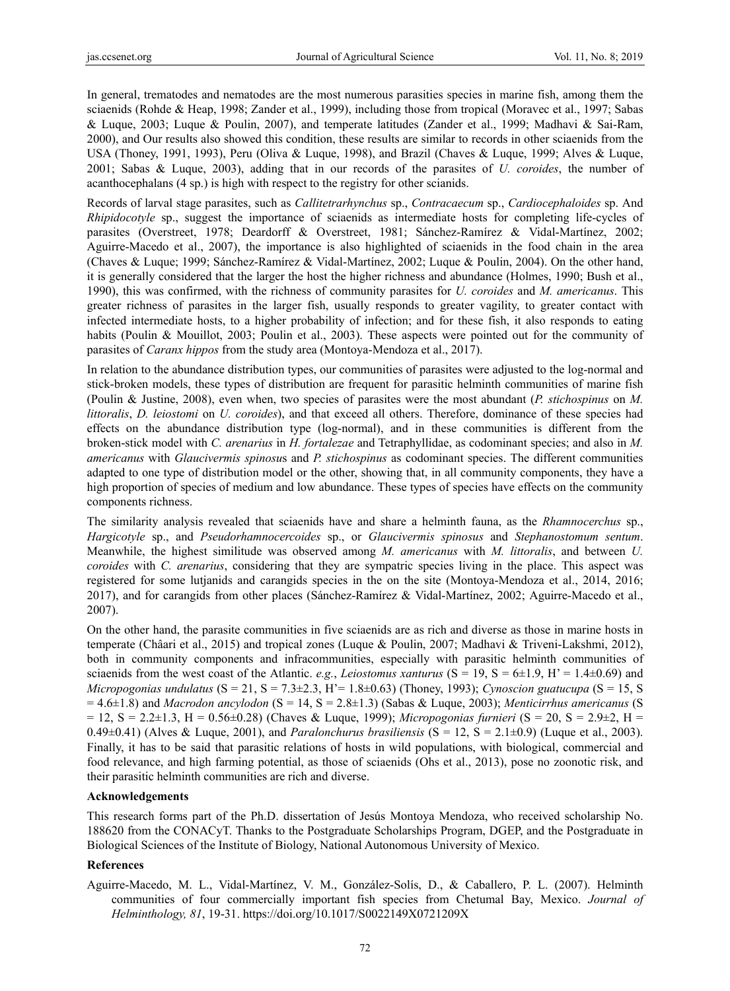In general, trematodes and nematodes are the most numerous parasities species in marine fish, among them the sciaenids (Rohde & Heap, 1998; Zander et al., 1999), including those from tropical (Moravec et al., 1997; Sabas & Luque, 2003; Luque & Poulin, 2007), and temperate latitudes (Zander et al., 1999; Madhavi & Sai-Ram, 2000), and Our results also showed this condition, these results are similar to records in other sciaenids from the USA (Thoney, 1991, 1993), Peru (Oliva & Luque, 1998), and Brazil (Chaves & Luque, 1999; Alves & Luque, 2001; Sabas & Luque, 2003), adding that in our records of the parasites of *U. coroides*, the number of acanthocephalans (4 sp.) is high with respect to the registry for other scianids.

Records of larval stage parasites, such as *Callitetrarhynchus* sp., *Contracaecum* sp., *Cardiocephaloides* sp. And *Rhipidocotyle* sp., suggest the importance of sciaenids as intermediate hosts for completing life-cycles of parasites (Overstreet, 1978; Deardorff & Overstreet, 1981; Sánchez-Ramírez & Vidal-Martínez, 2002; Aguirre-Macedo et al., 2007), the importance is also highlighted of sciaenids in the food chain in the area (Chaves & Luque; 1999; Sánchez-Ramírez & Vidal-Martínez, 2002; Luque & Poulin, 2004). On the other hand, it is generally considered that the larger the host the higher richness and abundance (Holmes, 1990; Bush et al., 1990), this was confirmed, with the richness of community parasites for *U. coroides* and *M. americanus*. This greater richness of parasites in the larger fish, usually responds to greater vagility, to greater contact with infected intermediate hosts, to a higher probability of infection; and for these fish, it also responds to eating habits (Poulin & Mouillot, 2003; Poulin et al., 2003). These aspects were pointed out for the community of parasites of *Caranx hippos* from the study area (Montoya-Mendoza et al., 2017).

In relation to the abundance distribution types, our communities of parasites were adjusted to the log-normal and stick-broken models, these types of distribution are frequent for parasitic helminth communities of marine fish (Poulin & Justine, 2008), even when, two species of parasites were the most abundant (*P. stichospinus* on *M. littoralis*, *D. leiostomi* on *U. coroides*), and that exceed all others. Therefore, dominance of these species had effects on the abundance distribution type (log-normal), and in these communities is different from the broken-stick model with *C. arenarius* in *H. fortalezae* and Tetraphyllidae, as codominant species; and also in *M. americanus* with *Glaucivermis spinosu*s and *P. stichospinus* as codominant species. The different communities adapted to one type of distribution model or the other, showing that, in all community components, they have a high proportion of species of medium and low abundance. These types of species have effects on the community components richness.

The similarity analysis revealed that sciaenids have and share a helminth fauna, as the *Rhamnocerchus* sp., *Hargicotyle* sp., and *Pseudorhamnocercoides* sp., or *Glaucivermis spinosus* and *Stephanostomum sentum*. Meanwhile, the highest similitude was observed among *M. americanus* with *M. littoralis*, and between *U. coroides* with *C. arenarius*, considering that they are sympatric species living in the place. This aspect was registered for some lutjanids and carangids species in the on the site (Montoya-Mendoza et al., 2014, 2016; 2017), and for carangids from other places (Sánchez-Ramírez & Vidal-Martínez, 2002; Aguirre-Macedo et al., 2007).

On the other hand, the parasite communities in five sciaenids are as rich and diverse as those in marine hosts in temperate (Châari et al., 2015) and tropical zones (Luque & Poulin, 2007; Madhavi & Triveni-Lakshmi, 2012), both in community components and infracommunities, especially with parasitic helminth communities of sciaenids from the west coast of the Atlantic. *e.g.*, *Leiostomus xanturus*  $(S = 19, S = 6\pm 1.9, H' = 1.4\pm 0.69)$  and *Micropogonias undulatus* (S = 21, S = 7.3±2.3, H'= 1.8±0.63) (Thoney, 1993); *Cynoscion guatucupa* (S = 15, S  $= 4.6\pm 1.8$ ) and *Macrodon ancylodon* (S = 14, S = 2.8 $\pm 1.3$ ) (Sabas & Luque, 2003); *Menticirrhus americanus* (S  $= 12$ ,  $S = 2.2 \pm 1.3$ ,  $H = 0.56 \pm 0.28$ ) (Chaves & Luque, 1999); *Micropogonias furnieri* (S = 20, S = 2.9 $\pm 2$ , H = 0.49 $\pm$ 0.41) (Alves & Luque, 2001), and *Paralonchurus brasiliensis* (S = 12, S = 2.1 $\pm$ 0.9) (Luque et al., 2003). Finally, it has to be said that parasitic relations of hosts in wild populations, with biological, commercial and food relevance, and high farming potential, as those of sciaenids (Ohs et al., 2013), pose no zoonotic risk, and their parasitic helminth communities are rich and diverse.

## **Acknowledgements**

This research forms part of the Ph.D. dissertation of Jesús Montoya Mendoza, who received scholarship No. 188620 from the CONACyT. Thanks to the Postgraduate Scholarships Program, DGEP, and the Postgraduate in Biological Sciences of the Institute of Biology, National Autonomous University of Mexico.

## **References**

Aguirre-Macedo, M. L., Vidal-Martínez, V. M., González-Solís, D., & Caballero, P. L. (2007). Helminth communities of four commercially important fish species from Chetumal Bay, Mexico. *Journal of Helminthology, 81*, 19-31. https://doi.org/10.1017/S0022149X0721209X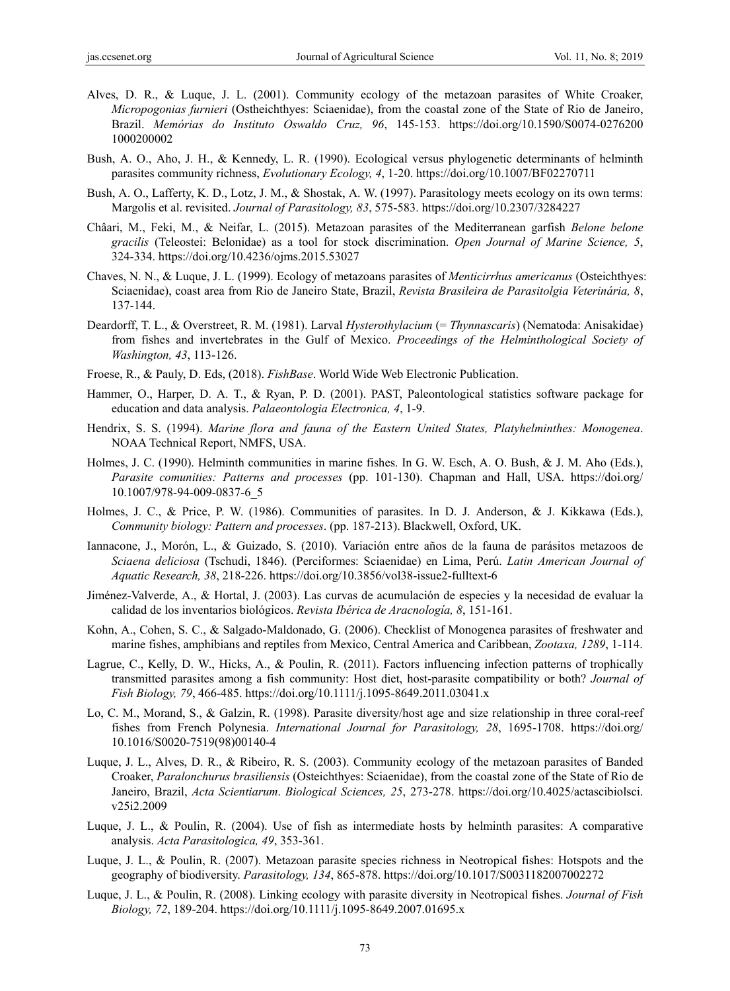- Alves, D. R., & Luque, J. L. (2001). Community ecology of the metazoan parasites of White Croaker, *Micropogonias furnieri* (Ostheichthyes: Sciaenidae), from the coastal zone of the State of Rio de Janeiro, Brazil. *Memórias do Instituto Oswaldo Cruz, 96*, 145-153. https://doi.org/10.1590/S0074-0276200 1000200002
- Bush, A. O., Aho, J. H., & Kennedy, L. R. (1990). Ecological versus phylogenetic determinants of helminth parasites community richness, *Evolutionary Ecology, 4*, 1-20. https://doi.org/10.1007/BF02270711
- Bush, A. O., Lafferty, K. D., Lotz, J. M., & Shostak, A. W. (1997). Parasitology meets ecology on its own terms: Margolis et al. revisited. *Journal of Parasitology, 83*, 575-583. https://doi.org/10.2307/3284227
- Châari, M., Feki, M., & Neifar, L. (2015). Metazoan parasites of the Mediterranean garfish *Belone belone gracilis* (Teleostei: Belonidae) as a tool for stock discrimination. *Open Journal of Marine Science, 5*, 324-334. https://doi.org/10.4236/ojms.2015.53027
- Chaves, N. N., & Luque, J. L. (1999). Ecology of metazoans parasites of *Menticirrhus americanus* (Osteichthyes: Sciaenidae), coast area from Rio de Janeiro State, Brazil, *Revista Brasileira de Parasitolgia Veterinária, 8*, 137-144.
- Deardorff, T. L., & Overstreet, R. M. (1981). Larval *Hysterothylacium* (= *Thynnascaris*) (Nematoda: Anisakidae) from fishes and invertebrates in the Gulf of Mexico. *Proceedings of the Helminthological Society of Washington, 43*, 113-126.
- Froese, R., & Pauly, D. Eds, (2018). *FishBase*. World Wide Web Electronic Publication.
- Hammer, O., Harper, D. A. T., & Ryan, P. D. (2001). PAST, Paleontological statistics software package for education and data analysis. *Palaeontologia Electronica, 4*, 1-9.
- Hendrix, S. S. (1994). *Marine flora and fauna of the Eastern United States, Platyhelminthes: Monogenea*. NOAA Technical Report, NMFS, USA.
- Holmes, J. C. (1990). Helminth communities in marine fishes. In G. W. Esch, A. O. Bush, & J. M. Aho (Eds.), *Parasite comunities: Patterns and processes* (pp. 101-130). Chapman and Hall, USA. https://doi.org/ 10.1007/978-94-009-0837-6\_5
- Holmes, J. C., & Price, P. W. (1986). Communities of parasites. In D. J. Anderson, & J. Kikkawa (Eds.), *Community biology: Pattern and processes*. (pp. 187-213). Blackwell, Oxford, UK.
- Iannacone, J., Morón, L., & Guizado, S. (2010). Variación entre años de la fauna de parásitos metazoos de *Sciaena deliciosa* (Tschudi, 1846). (Perciformes: Sciaenidae) en Lima, Perú. *Latin American Journal of Aquatic Research, 38*, 218-226. https://doi.org/10.3856/vol38-issue2-fulltext-6
- Jiménez-Valverde, A., & Hortal, J. (2003). Las curvas de acumulación de especies y la necesidad de evaluar la calidad de los inventarios biológicos. *Revista Ibérica de Aracnología, 8*, 151-161.
- Kohn, A., Cohen, S. C., & Salgado-Maldonado, G. (2006). Checklist of Monogenea parasites of freshwater and marine fishes, amphibians and reptiles from Mexico, Central America and Caribbean, *Zootaxa, 1289*, 1-114.
- Lagrue, C., Kelly, D. W., Hicks, A., & Poulin, R. (2011). Factors influencing infection patterns of trophically transmitted parasites among a fish community: Host diet, host-parasite compatibility or both? *Journal of Fish Biology, 79*, 466-485. https://doi.org/10.1111/j.1095-8649.2011.03041.x
- Lo, C. M., Morand, S., & Galzin, R. (1998). Parasite diversity/host age and size relationship in three coral-reef fishes from French Polynesia. *International Journal for Parasitology, 28*, 1695-1708. https://doi.org/ 10.1016/S0020-7519(98)00140-4
- Luque, J. L., Alves, D. R., & Ribeiro, R. S. (2003). Community ecology of the metazoan parasites of Banded Croaker, *Paralonchurus brasiliensis* (Osteichthyes: Sciaenidae), from the coastal zone of the State of Rio de Janeiro, Brazil, *Acta Scientiarum*. *Biological Sciences, 25*, 273-278. https://doi.org/10.4025/actascibiolsci. v25i2.2009
- Luque, J. L., & Poulin, R. (2004). Use of fish as intermediate hosts by helminth parasites: A comparative analysis. *Acta Parasitologica, 49*, 353-361.
- Luque, J. L., & Poulin, R. (2007). Metazoan parasite species richness in Neotropical fishes: Hotspots and the geography of biodiversity. *Parasitology, 134*, 865-878. https://doi.org/10.1017/S0031182007002272
- Luque, J. L., & Poulin, R. (2008). Linking ecology with parasite diversity in Neotropical fishes. *Journal of Fish Biology, 72*, 189-204. https://doi.org/10.1111/j.1095-8649.2007.01695.x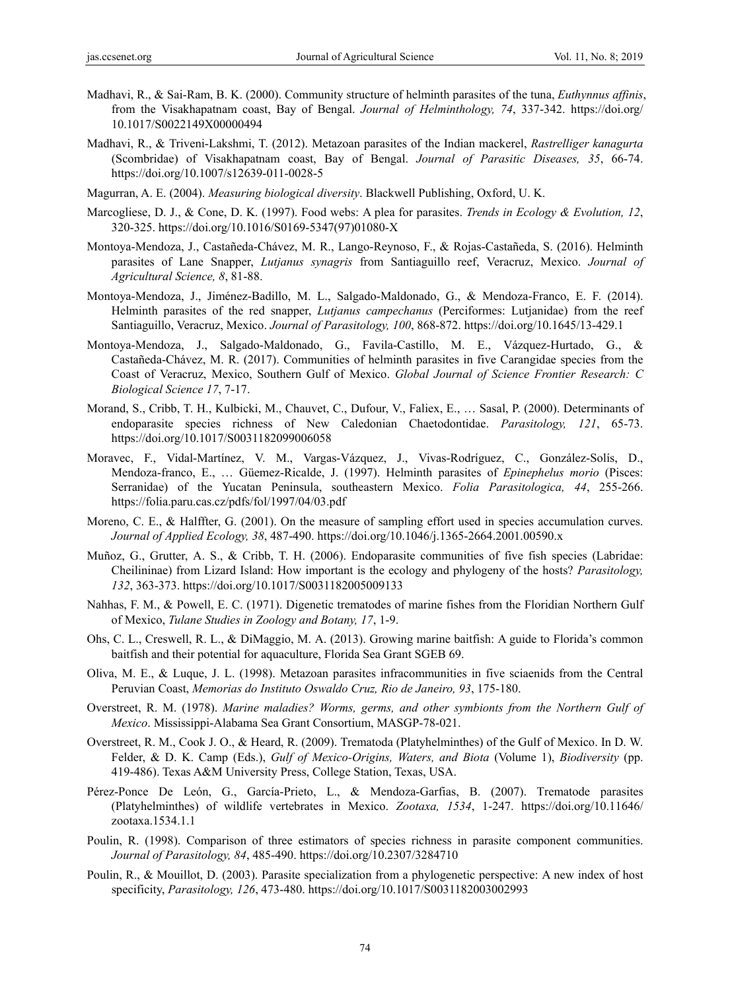- Madhavi, R., & Sai-Ram, B. K. (2000). Community structure of helminth parasites of the tuna, *Euthynnus affinis*, from the Visakhapatnam coast, Bay of Bengal. *Journal of Helminthology, 74*, 337-342. https://doi.org/ 10.1017/S0022149X00000494
- Madhavi, R., & Triveni-Lakshmi, T. (2012). Metazoan parasites of the Indian mackerel, *Rastrelliger kanagurta*  (Scombridae) of Visakhapatnam coast, Bay of Bengal. *Journal of Parasitic Diseases, 35*, 66-74. https://doi.org/10.1007/s12639-011-0028-5
- Magurran, A. E. (2004). *Measuring biological diversity*. Blackwell Publishing, Oxford, U. K.
- Marcogliese, D. J., & Cone, D. K. (1997). Food webs: A plea for parasites. *Trends in Ecology & Evolution, 12*, 320-325. https://doi.org/10.1016/S0169-5347(97)01080-X
- Montoya-Mendoza, J., Castañeda-Chávez, M. R., Lango-Reynoso, F., & Rojas-Castañeda, S. (2016). Helminth parasites of Lane Snapper, *Lutjanus synagris* from Santiaguillo reef, Veracruz, Mexico. *Journal of Agricultural Science, 8*, 81-88.
- Montoya-Mendoza, J., Jiménez-Badillo, M. L., Salgado-Maldonado, G., & Mendoza-Franco, E. F. (2014). Helminth parasites of the red snapper, *Lutjanus campechanus* (Perciformes: Lutjanidae) from the reef Santiaguillo, Veracruz, Mexico. *Journal of Parasitology, 100*, 868-872. https://doi.org/10.1645/13-429.1
- Montoya-Mendoza, J., Salgado-Maldonado, G., Favila-Castillo, M. E., Vázquez-Hurtado, G., & Castañeda-Chávez, M. R. (2017). Communities of helminth parasites in five Carangidae species from the Coast of Veracruz, Mexico, Southern Gulf of Mexico. *Global Journal of Science Frontier Research: C Biological Science 17*, 7-17.
- Morand, S., Cribb, T. H., Kulbicki, M., Chauvet, C., Dufour, V., Faliex, E., … Sasal, P. (2000). Determinants of endoparasite species richness of New Caledonian Chaetodontidae. *Parasitology, 121*, 65-73. https://doi.org/10.1017/S0031182099006058
- Moravec, F., Vidal-Martínez, V. M., Vargas-Vázquez, J., Vivas-Rodríguez, C., González-Solís, D., Mendoza-franco, E., … Güemez-Ricalde, J. (1997). Helminth parasites of *Epinephelus morio* (Pisces: Serranidae) of the Yucatan Peninsula, southeastern Mexico. *Folia Parasitologica, 44*, 255-266. https://folia.paru.cas.cz/pdfs/fol/1997/04/03.pdf
- Moreno, C. E., & Halffter, G. (2001). On the measure of sampling effort used in species accumulation curves. *Journal of Applied Ecology, 38*, 487-490. https://doi.org/10.1046/j.1365-2664.2001.00590.x
- Muñoz, G., Grutter, A. S., & Cribb, T. H. (2006). Endoparasite communities of five fish species (Labridae: Cheilininae) from Lizard Island: How important is the ecology and phylogeny of the hosts? *Parasitology, 132*, 363-373. https://doi.org/10.1017/S0031182005009133
- Nahhas, F. M., & Powell, E. C. (1971). Digenetic trematodes of marine fishes from the Floridian Northern Gulf of Mexico, *Tulane Studies in Zoology and Botany, 17*, 1-9.
- Ohs, C. L., Creswell, R. L., & DiMaggio, M. A. (2013). Growing marine baitfish: A guide to Florida's common baitfish and their potential for aquaculture, Florida Sea Grant SGEB 69.
- Oliva, M. E., & Luque, J. L. (1998). Metazoan parasites infracommunities in five sciaenids from the Central Peruvian Coast, *Memorias do Instituto Oswaldo Cruz, Rio de Janeiro, 93*, 175-180.
- Overstreet, R. M. (1978). *Marine maladies? Worms, germs, and other symbionts from the Northern Gulf of Mexico*. Mississippi-Alabama Sea Grant Consortium, MASGP-78-021.
- Overstreet, R. M., Cook J. O., & Heard, R. (2009). Trematoda (Platyhelminthes) of the Gulf of Mexico. In D. W. Felder, & D. K. Camp (Eds.), *Gulf of Mexico-Origins, Waters, and Biota* (Volume 1), *Biodiversity* (pp. 419-486). Texas A&M University Press, College Station, Texas, USA.
- Pérez-Ponce De León, G., García-Prieto, L., & Mendoza-Garfias, B. (2007). Trematode parasites (Platyhelminthes) of wildlife vertebrates in Mexico. *Zootaxa, 1534*, 1-247. https://doi.org/10.11646/ zootaxa.1534.1.1
- Poulin, R. (1998). Comparison of three estimators of species richness in parasite component communities. *Journal of Parasitology, 84*, 485-490. https://doi.org/10.2307/3284710
- Poulin, R., & Mouillot, D. (2003). Parasite specialization from a phylogenetic perspective: A new index of host specificity, *Parasitology, 126*, 473-480. https://doi.org/10.1017/S0031182003002993